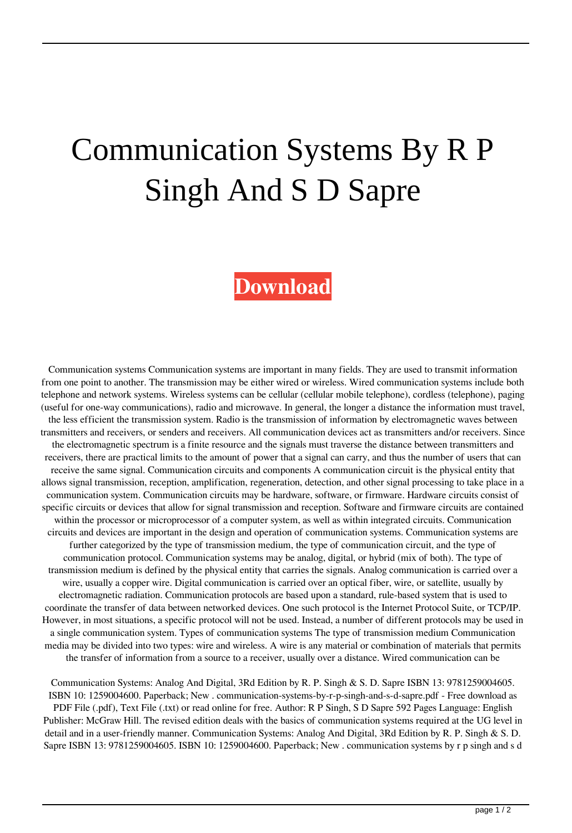## Communication Systems By R P Singh And S D Sapre

## **[Download](http://evacdir.com/daeng.stazione?ZG93bmxvYWR8ZTY4TXpobWZId3hOalV5TnpRd09EWTJmSHd5TlRjMGZId29UU2tnY21WaFpDMWliRzluSUZ0R1lYTjBJRWRGVGww=dantun=&elixirs=Y29tbXVuaWNhdGlvbiBzeXN0ZW1zIGJ5IHIgcCBzaW5naCBhbmQgcyBkIHNhcHJlY29)**

Communication systems Communication systems are important in many fields. They are used to transmit information from one point to another. The transmission may be either wired or wireless. Wired communication systems include both telephone and network systems. Wireless systems can be cellular (cellular mobile telephone), cordless (telephone), paging (useful for one-way communications), radio and microwave. In general, the longer a distance the information must travel, the less efficient the transmission system. Radio is the transmission of information by electromagnetic waves between transmitters and receivers, or senders and receivers. All communication devices act as transmitters and/or receivers. Since the electromagnetic spectrum is a finite resource and the signals must traverse the distance between transmitters and receivers, there are practical limits to the amount of power that a signal can carry, and thus the number of users that can receive the same signal. Communication circuits and components A communication circuit is the physical entity that allows signal transmission, reception, amplification, regeneration, detection, and other signal processing to take place in a communication system. Communication circuits may be hardware, software, or firmware. Hardware circuits consist of specific circuits or devices that allow for signal transmission and reception. Software and firmware circuits are contained within the processor or microprocessor of a computer system, as well as within integrated circuits. Communication circuits and devices are important in the design and operation of communication systems. Communication systems are further categorized by the type of transmission medium, the type of communication circuit, and the type of communication protocol. Communication systems may be analog, digital, or hybrid (mix of both). The type of transmission medium is defined by the physical entity that carries the signals. Analog communication is carried over a wire, usually a copper wire. Digital communication is carried over an optical fiber, wire, or satellite, usually by electromagnetic radiation. Communication protocols are based upon a standard, rule-based system that is used to coordinate the transfer of data between networked devices. One such protocol is the Internet Protocol Suite, or TCP/IP. However, in most situations, a specific protocol will not be used. Instead, a number of different protocols may be used in a single communication system. Types of communication systems The type of transmission medium Communication media may be divided into two types: wire and wireless. A wire is any material or combination of materials that permits the transfer of information from a source to a receiver, usually over a distance. Wired communication can be

Communication Systems: Analog And Digital, 3Rd Edition by R. P. Singh & S. D. Sapre ISBN 13: 9781259004605. ISBN 10: 1259004600. Paperback; New . communication-systems-by-r-p-singh-and-s-d-sapre.pdf - Free download as PDF File (.pdf), Text File (.txt) or read online for free. Author: R P Singh, S D Sapre 592 Pages Language: English Publisher: McGraw Hill. The revised edition deals with the basics of communication systems required at the UG level in detail and in a user-friendly manner. Communication Systems: Analog And Digital, 3Rd Edition by R. P. Singh & S. D. Sapre ISBN 13: 9781259004605. ISBN 10: 1259004600. Paperback; New . communication systems by r p singh and s d